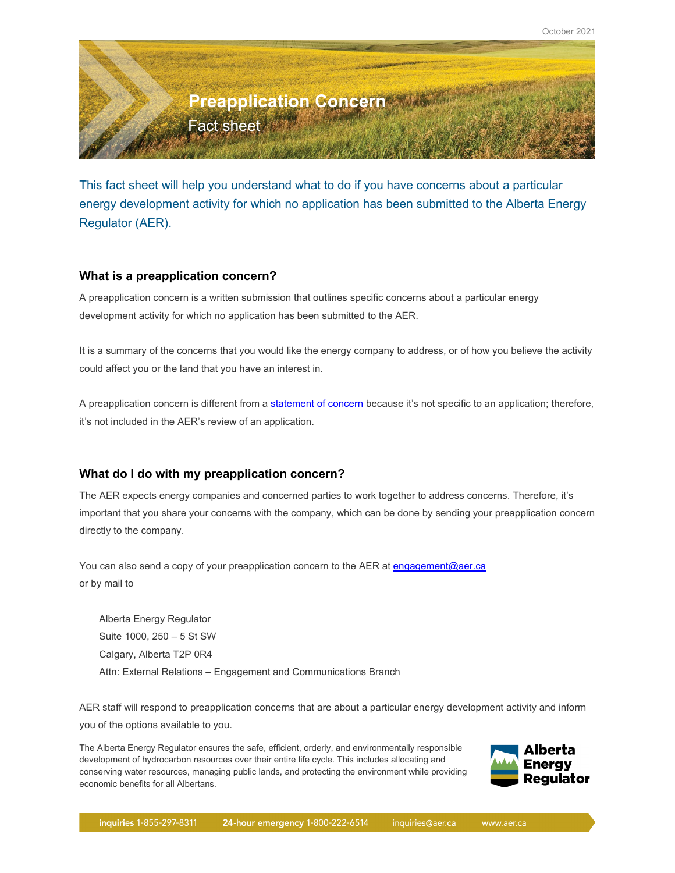

This fact sheet will help you understand what to do if you have concerns about a particular energy development activity for which no application has been submitted to the Alberta Energy Regulator (AER).

### **What is a preapplication concern?**

A preapplication concern is a written submission that outlines specific concerns about a particular energy development activity for which no application has been submitted to the AER.

It is a summary of the concerns that you would like the energy company to address, or of how you believe the activity could affect you or the land that you have an interest in.

A preapplication concern is different from a [statement of concern](https://www.aer.ca/protecting-what-matters/giving-albertans-a-voice/statement-of-concern) because it's not specific to an application; therefore, it's not included in the AER's review of an application.

## **What do I do with my preapplication concern?**

The AER expects energy companies and concerned parties to work together to address concerns. Therefore, it's important that you share your concerns with the company, which can be done by sending your preapplication concern directly to the company.

You can also send a copy of your preapplication concern to the AER at [engagement@aer.ca](mailto:engagement@aer.ca) or by mail to

Alberta Energy Regulator Suite 1000, 250 – 5 St SW Calgary, Alberta T2P 0R4 Attn: External Relations – Engagement and Communications Branch

AER staff will respond to preapplication concerns that are about a particular energy development activity and inform you of the options available to you.

The Alberta Energy Regulator ensures the safe, efficient, orderly, and environmentally responsible development of hydrocarbon resources over their entire life cycle. This includes allocating and conserving water resources, managing public lands, and protecting the environment while providing economic benefits for all Albertans.

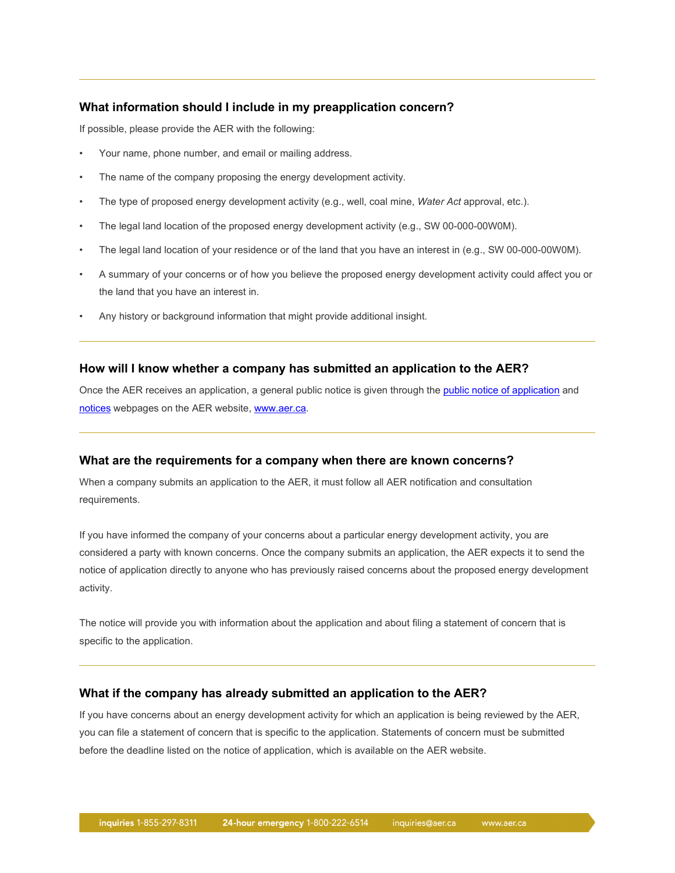### **What information should I include in my preapplication concern?**

If possible, please provide the AER with the following:

- Your name, phone number, and email or mailing address.
- The name of the company proposing the energy development activity.
- The type of proposed energy development activity (e.g., well, coal mine, *Water Act* approval, etc.).
- The legal land location of the proposed energy development activity (e.g., SW 00-000-00W0M).
- The legal land location of your residence or of the land that you have an interest in (e.g., SW 00-000-00W0M).
- A summary of your concerns or of how you believe the proposed energy development activity could affect you or the land that you have an interest in.
- Any history or background information that might provide additional insight.

#### **How will I know whether a company has submitted an application to the AER?**

Once the AER receives an application, a general public notice is given through the [public notice of application](https://webapps.aer.ca/pnoa) and [notices](https://www.aer.ca/regulating-development/project-application/notices) webpages on the AER website[, www.aer.ca.](http://www.aer.ca/)

#### **What are the requirements for a company when there are known concerns?**

When a company submits an application to the AER, it must follow all AER notification and consultation requirements.

If you have informed the company of your concerns about a particular energy development activity, you are considered a party with known concerns. Once the company submits an application, the AER expects it to send the notice of application directly to anyone who has previously raised concerns about the proposed energy development activity.

The notice will provide you with information about the application and about filing a statement of concern that is specific to the application.

#### **What if the company has already submitted an application to the AER?**

If you have concerns about an energy development activity for which an application is being reviewed by the AER, you can file a statement of concern that is specific to the application. Statements of concern must be submitted before the deadline listed on the notice of application, which is available on the AER website.